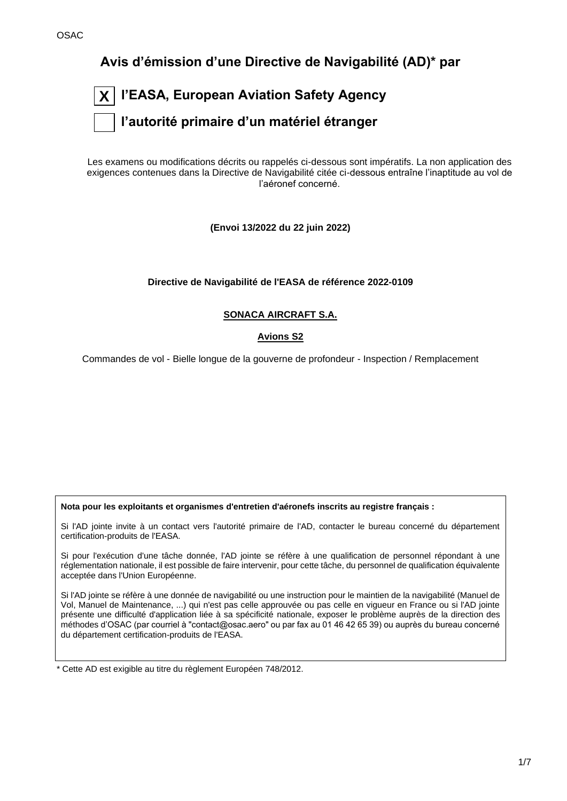**Avis d'émission d'une Directive de Navigabilité (AD)\* par**

| $\boxed{\textsf{X}}$ l'EASA, European Aviation Safety Agency |
|--------------------------------------------------------------|
| $ \;\;\; $ l'autorité primaire d'un matériel étranger        |

Les examens ou modifications décrits ou rappelés ci-dessous sont impératifs. La non application des exigences contenues dans la Directive de Navigabilité citée ci-dessous entraîne l'inaptitude au vol de l'aéronef concerné.

**(Envoi 13/2022 du 22 juin 2022)**

**Directive de Navigabilité de l'EASA de référence 2022-0109**

# **SONACA AIRCRAFT S.A.**

# **Avions S2**

Commandes de vol - Bielle longue de la gouverne de profondeur - Inspection / Remplacement

**Nota pour les exploitants et organismes d'entretien d'aéronefs inscrits au registre français :**

Si l'AD jointe invite à un contact vers l'autorité primaire de l'AD, contacter le bureau concerné du département certification-produits de l'EASA.

Si pour l'exécution d'une tâche donnée, l'AD jointe se réfère à une qualification de personnel répondant à une réglementation nationale, il est possible de faire intervenir, pour cette tâche, du personnel de qualification équivalente acceptée dans l'Union Européenne.

Si l'AD jointe se réfère à une donnée de navigabilité ou une instruction pour le maintien de la navigabilité (Manuel de Vol, Manuel de Maintenance, ...) qui n'est pas celle approuvée ou pas celle en vigueur en France ou si l'AD jointe présente une difficulté d'application liée à sa spécificité nationale, exposer le problème auprès de la direction des méthodes d'OSAC (par courriel à "contact@osac.aero" ou par fax au 01 46 42 65 39) ou auprès du bureau concerné du département certification-produits de l'EASA.

\* Cette AD est exigible au titre du règlement Européen 748/2012.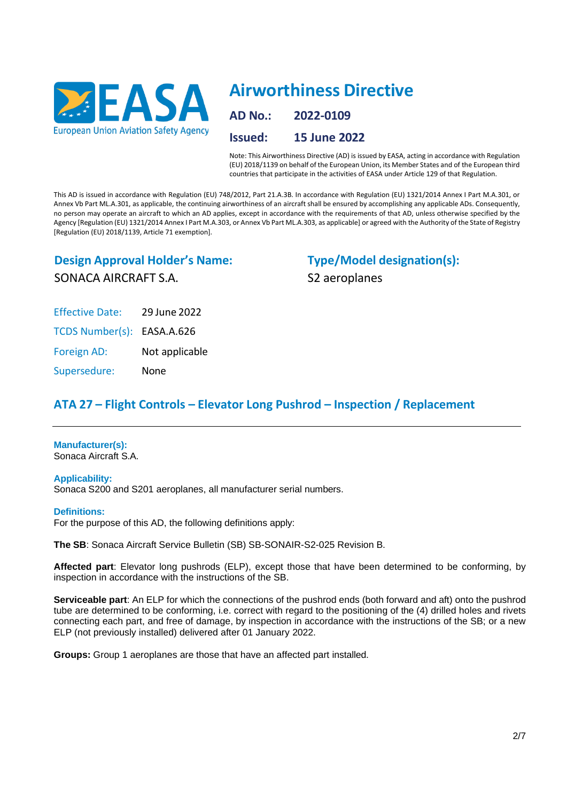

# **Airworthiness Directive**

**AD No.: 2022-0109 Issued: 15 June 2022**

Note: This Airworthiness Directive (AD) is issued by EASA, acting in accordance with Regulation (EU) 2018/1139 on behalf of the European Union, its Member States and of the European third countries that participate in the activities of EASA under Article 129 of that Regulation.

This AD is issued in accordance with Regulation (EU) 748/2012, Part 21.A.3B. In accordance with Regulation (EU) 1321/2014 Annex I Part M.A.301, or Annex Vb Part ML.A.301, as applicable, the continuing airworthiness of an aircraft shall be ensured by accomplishing any applicable ADs. Consequently, no person may operate an aircraft to which an AD applies, except in accordance with the requirements of that AD, unless otherwise specified by the Agency [Regulation (EU) 1321/2014 Annex I Part M.A.303, or Annex Vb Part ML.A.303, as applicable] or agreed with the Authority of the State of Registry [Regulation (EU) 2018/1139, Article 71 exemption].

# **Design Approval Holder's Name:** SONACA AIRCRAFT S.A.

**Type/Model designation(s):** S2 aeroplanes

Effective Date: 29 June 2022 TCDS Number(s): EASA.A.626 Foreign AD: Not applicable

Supersedure: None

# **ATA 27 – Flight Controls – Elevator Long Pushrod – Inspection / Replacement**

**Manufacturer(s):** Sonaca Aircraft S.A.

**Applicability:**

Sonaca S200 and S201 aeroplanes, all manufacturer serial numbers.

# **Definitions:**

For the purpose of this AD, the following definitions apply:

**The SB**: Sonaca Aircraft Service Bulletin (SB) SB-SONAIR-S2-025 Revision B.

**Affected part**: Elevator long pushrods (ELP), except those that have been determined to be conforming, by inspection in accordance with the instructions of the SB.

**Serviceable part**: An ELP for which the connections of the pushrod ends (both forward and aft) onto the pushrod tube are determined to be conforming, i.e. correct with regard to the positioning of the (4) drilled holes and rivets connecting each part, and free of damage, by inspection in accordance with the instructions of the SB; or a new ELP (not previously installed) delivered after 01 January 2022.

**Groups:** Group 1 aeroplanes are those that have an affected part installed.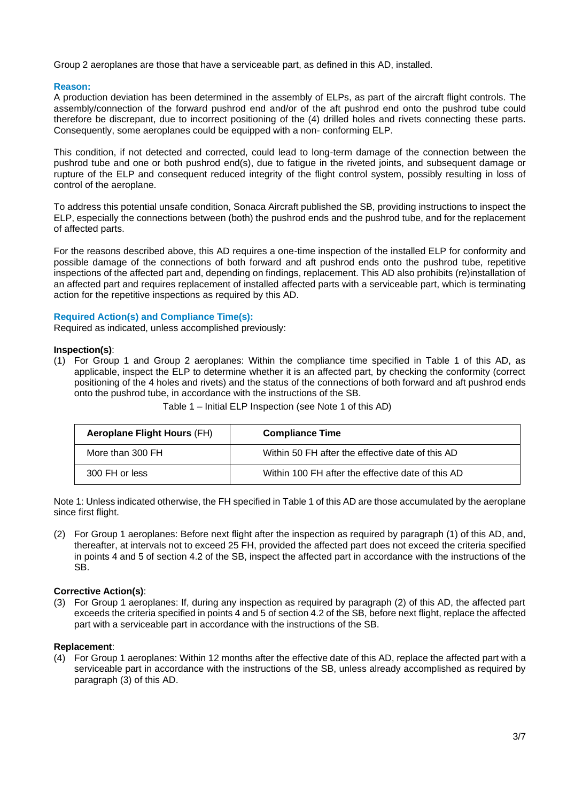Group 2 aeroplanes are those that have a serviceable part, as defined in this AD, installed.

# **Reason:**

A production deviation has been determined in the assembly of ELPs, as part of the aircraft flight controls. The assembly/connection of the forward pushrod end and/or of the aft pushrod end onto the pushrod tube could therefore be discrepant, due to incorrect positioning of the (4) drilled holes and rivets connecting these parts. Consequently, some aeroplanes could be equipped with a non- conforming ELP.

This condition, if not detected and corrected, could lead to long-term damage of the connection between the pushrod tube and one or both pushrod end(s), due to fatigue in the riveted joints, and subsequent damage or rupture of the ELP and consequent reduced integrity of the flight control system, possibly resulting in loss of control of the aeroplane.

To address this potential unsafe condition, Sonaca Aircraft published the SB, providing instructions to inspect the ELP, especially the connections between (both) the pushrod ends and the pushrod tube, and for the replacement of affected parts.

For the reasons described above, this AD requires a one-time inspection of the installed ELP for conformity and possible damage of the connections of both forward and aft pushrod ends onto the pushrod tube, repetitive inspections of the affected part and, depending on findings, replacement. This AD also prohibits (re)installation of an affected part and requires replacement of installed affected parts with a serviceable part, which is terminating action for the repetitive inspections as required by this AD.

#### **Required Action(s) and Compliance Time(s):**

Required as indicated, unless accomplished previously:

# **Inspection(s)**:

(1) For Group 1 and Group 2 aeroplanes: Within the compliance time specified in Table 1 of this AD, as applicable, inspect the ELP to determine whether it is an affected part, by checking the conformity (correct positioning of the 4 holes and rivets) and the status of the connections of both forward and aft pushrod ends onto the pushrod tube, in accordance with the instructions of the SB.

| <b>Aeroplane Flight Hours (FH)</b> | <b>Compliance Time</b>                            |
|------------------------------------|---------------------------------------------------|
| More than 300 FH                   | Within 50 FH after the effective date of this AD  |
| 300 FH or less                     | Within 100 FH after the effective date of this AD |

Table 1 – Initial ELP Inspection (see Note 1 of this AD)

Note 1: Unless indicated otherwise, the FH specified in Table 1 of this AD are those accumulated by the aeroplane since first flight.

(2) For Group 1 aeroplanes: Before next flight after the inspection as required by paragraph (1) of this AD, and, thereafter, at intervals not to exceed 25 FH, provided the affected part does not exceed the criteria specified in points 4 and 5 of section 4.2 of the SB, inspect the affected part in accordance with the instructions of the SB.

# **Corrective Action(s)**:

(3) For Group 1 aeroplanes: If, during any inspection as required by paragraph (2) of this AD, the affected part exceeds the criteria specified in points 4 and 5 of section 4.2 of the SB, before next flight, replace the affected part with a serviceable part in accordance with the instructions of the SB.

#### **Replacement**:

(4) For Group 1 aeroplanes: Within 12 months after the effective date of this AD, replace the affected part with a serviceable part in accordance with the instructions of the SB, unless already accomplished as required by paragraph (3) of this AD.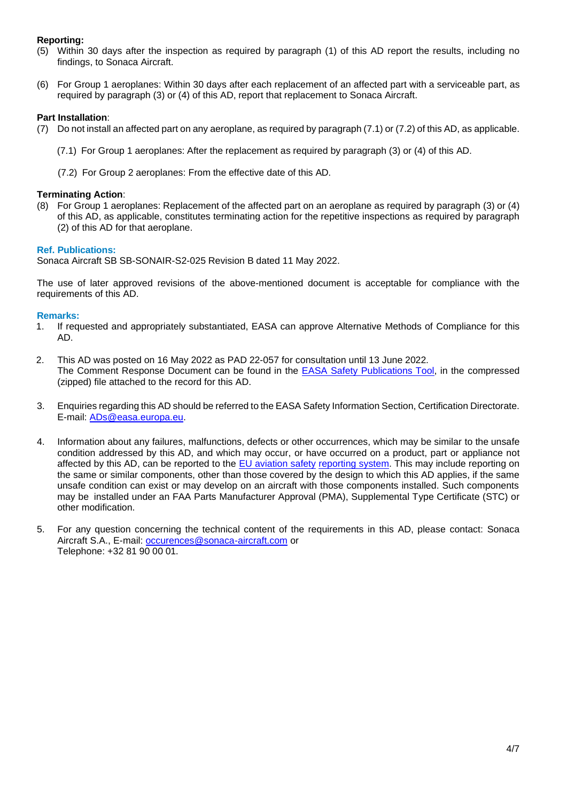# **Reporting:**

- (5) Within 30 days after the inspection as required by paragraph (1) of this AD report the results, including no findings, to Sonaca Aircraft.
- (6) For Group 1 aeroplanes: Within 30 days after each replacement of an affected part with a serviceable part, as required by paragraph (3) or (4) of this AD, report that replacement to Sonaca Aircraft.

# **Part Installation**:

- (7) Do not install an affected part on any aeroplane, as required by paragraph (7.1) or (7.2) of this AD, as applicable.
	- (7.1) For Group 1 aeroplanes: After the replacement as required by paragraph (3) or (4) of this AD.
	- (7.2) For Group 2 aeroplanes: From the effective date of this AD.

# **Terminating Action**:

(8) For Group 1 aeroplanes: Replacement of the affected part on an aeroplane as required by paragraph (3) or (4) of this AD, as applicable, constitutes terminating action for the repetitive inspections as required by paragraph (2) of this AD for that aeroplane.

# **Ref. Publications:**

Sonaca Aircraft SB SB-SONAIR-S2-025 Revision B dated 11 May 2022.

The use of later approved revisions of the above-mentioned document is acceptable for compliance with the requirements of this AD.

# **Remarks:**

- 1. If requested and appropriately substantiated, EASA can approve Alternative Methods of Compliance for this AD.
- 2. This AD was posted on 16 May 2022 as PAD 22-057 for consultation until 13 June 2022. The Comment Response Document can be found in the EASA Safety [Publications](http://ad.easa.europa.eu/) Tool, in the compressed (zipped) file attached to the record for this AD.
- 3. Enquiries regarding this AD should be referred to the EASA Safety Information Section, Certification Directorate. E-mail: [ADs@easa.europa.eu.](mailto:ADs@easa.europa.eu)
- 4. Information about any failures, malfunctions, defects or other occurrences, which may be similar to the unsafe condition addressed by this AD, and which may occur, or have occurred on a product, part or appliance not affected by this AD, can be reported to the [EU aviation safety](https://e2.aviationreporting.eu/reporting) [reporting system.](https://e2.aviationreporting.eu/reporting) This may include reporting on the same or similar components, other than those covered by the design to which this AD applies, if the same unsafe condition can exist or may develop on an aircraft with those components installed. Such components may be installed under an FAA Parts Manufacturer Approval (PMA), Supplemental Type Certificate (STC) or other modification.
- 5. For any question concerning the technical content of the requirements in this AD, please contact: Sonaca Aircraft S.A., E-mail: [occurences@sonaca-aircraft.com](mailto:occurences@sonaca-aircraft.com) or Telephone: +32 81 90 00 01.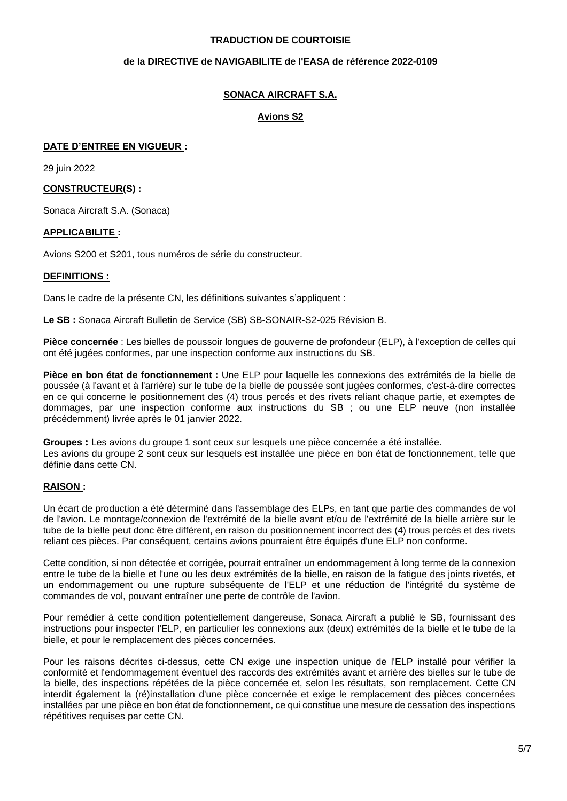# **TRADUCTION DE COURTOISIE**

# **de la DIRECTIVE de NAVIGABILITE de l'EASA de référence 2022-0109**

# **SONACA AIRCRAFT S.A.**

# **Avions S2**

# **DATE D'ENTREE EN VIGUEUR :**

29 juin 2022

# **CONSTRUCTEUR(S) :**

Sonaca Aircraft S.A. (Sonaca)

# **APPLICABILITE :**

Avions S200 et S201, tous numéros de série du constructeur.

# **DEFINITIONS :**

Dans le cadre de la présente CN, les définitions suivantes s'appliquent :

**Le SB :** Sonaca Aircraft Bulletin de Service (SB) SB-SONAIR-S2-025 Révision B.

**Pièce concernée** : Les bielles de poussoir longues de gouverne de profondeur (ELP), à l'exception de celles qui ont été jugées conformes, par une inspection conforme aux instructions du SB.

**Pièce en bon état de fonctionnement :** Une ELP pour laquelle les connexions des extrémités de la bielle de poussée (à l'avant et à l'arrière) sur le tube de la bielle de poussée sont jugées conformes, c'est-à-dire correctes en ce qui concerne le positionnement des (4) trous percés et des rivets reliant chaque partie, et exemptes de dommages, par une inspection conforme aux instructions du SB ; ou une ELP neuve (non installée précédemment) livrée après le 01 janvier 2022.

**Groupes :** Les avions du groupe 1 sont ceux sur lesquels une pièce concernée a été installée. Les avions du groupe 2 sont ceux sur lesquels est installée une pièce en bon état de fonctionnement, telle que définie dans cette CN.

# **RAISON :**

Un écart de production a été déterminé dans l'assemblage des ELPs, en tant que partie des commandes de vol de l'avion. Le montage/connexion de l'extrémité de la bielle avant et/ou de l'extrémité de la bielle arrière sur le tube de la bielle peut donc être différent, en raison du positionnement incorrect des (4) trous percés et des rivets reliant ces pièces. Par conséquent, certains avions pourraient être équipés d'une ELP non conforme.

Cette condition, si non détectée et corrigée, pourrait entraîner un endommagement à long terme de la connexion entre le tube de la bielle et l'une ou les deux extrémités de la bielle, en raison de la fatigue des joints rivetés, et un endommagement ou une rupture subséquente de l'ELP et une réduction de l'intégrité du système de commandes de vol, pouvant entraîner une perte de contrôle de l'avion.

Pour remédier à cette condition potentiellement dangereuse, Sonaca Aircraft a publié le SB, fournissant des instructions pour inspecter l'ELP, en particulier les connexions aux (deux) extrémités de la bielle et le tube de la bielle, et pour le remplacement des pièces concernées.

Pour les raisons décrites ci-dessus, cette CN exige une inspection unique de l'ELP installé pour vérifier la conformité et l'endommagement éventuel des raccords des extrémités avant et arrière des bielles sur le tube de la bielle, des inspections répétées de la pièce concernée et, selon les résultats, son remplacement. Cette CN interdit également la (ré)installation d'une pièce concernée et exige le remplacement des pièces concernées installées par une pièce en bon état de fonctionnement, ce qui constitue une mesure de cessation des inspections répétitives requises par cette CN.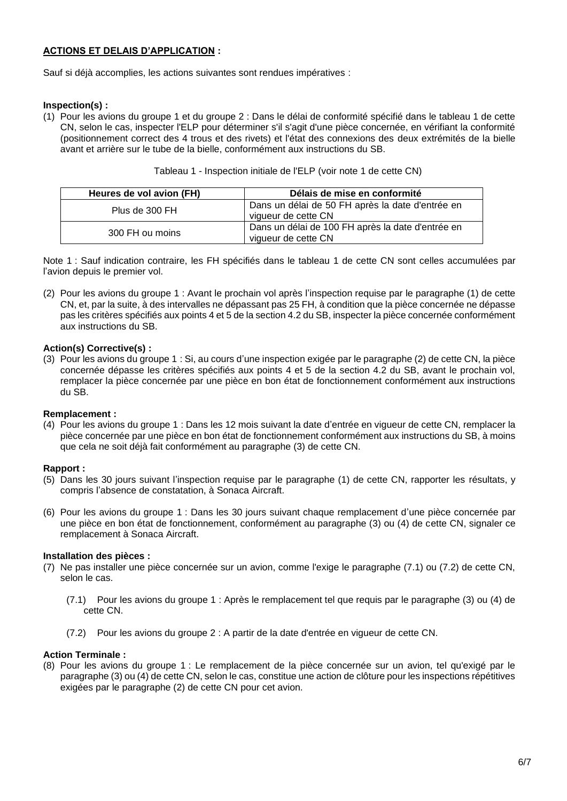# **ACTIONS ET DELAIS D'APPLICATION :**

Sauf si déjà accomplies, les actions suivantes sont rendues impératives :

# **Inspection(s) :**

(1) Pour les avions du groupe 1 et du groupe 2 : Dans le délai de conformité spécifié dans le tableau 1 de cette CN, selon le cas, inspecter l'ELP pour déterminer s'il s'agit d'une pièce concernée, en vérifiant la conformité (positionnement correct des 4 trous et des rivets) et l'état des connexions des deux extrémités de la bielle avant et arrière sur le tube de la bielle, conformément aux instructions du SB.

| Heures de vol avion (FH) | Délais de mise en conformité                                             |  |
|--------------------------|--------------------------------------------------------------------------|--|
| Plus de 300 FH           | Dans un délai de 50 FH après la date d'entrée en<br>vigueur de cette CN  |  |
| 300 FH ou moins          | Dans un délai de 100 FH après la date d'entrée en<br>vigueur de cette CN |  |

| Tableau 1 - Inspection initiale de l'ELP (voir note 1 de cette CN) |  |  |
|--------------------------------------------------------------------|--|--|
|--------------------------------------------------------------------|--|--|

Note 1 : Sauf indication contraire, les FH spécifiés dans le tableau 1 de cette CN sont celles accumulées par l'avion depuis le premier vol.

(2) Pour les avions du groupe 1 : Avant le prochain vol après l'inspection requise par le paragraphe (1) de cette CN, et, par la suite, à des intervalles ne dépassant pas 25 FH, à condition que la pièce concernée ne dépasse pas les critères spécifiés aux points 4 et 5 de la section 4.2 du SB, inspecter la pièce concernée conformément aux instructions du SB.

# **Action(s) Corrective(s) :**

(3) Pour les avions du groupe 1 : Si, au cours d'une inspection exigée par le paragraphe (2) de cette CN, la pièce concernée dépasse les critères spécifiés aux points 4 et 5 de la section 4.2 du SB, avant le prochain vol, remplacer la pièce concernée par une pièce en bon état de fonctionnement conformément aux instructions du SB.

# **Remplacement :**

(4) Pour les avions du groupe 1 : Dans les 12 mois suivant la date d'entrée en vigueur de cette CN, remplacer la pièce concernée par une pièce en bon état de fonctionnement conformément aux instructions du SB, à moins que cela ne soit déjà fait conformément au paragraphe (3) de cette CN.

#### **Rapport :**

- (5) Dans les 30 jours suivant l'inspection requise par le paragraphe (1) de cette CN, rapporter les résultats, y compris l'absence de constatation, à Sonaca Aircraft.
- (6) Pour les avions du groupe 1 : Dans les 30 jours suivant chaque remplacement d'une pièce concernée par une pièce en bon état de fonctionnement, conformément au paragraphe (3) ou (4) de cette CN, signaler ce remplacement à Sonaca Aircraft.

#### **Installation des pièces :**

- (7) Ne pas installer une pièce concernée sur un avion, comme l'exige le paragraphe (7.1) ou (7.2) de cette CN, selon le cas.
	- (7.1) Pour les avions du groupe 1 : Après le remplacement tel que requis par le paragraphe (3) ou (4) de cette CN.
	- (7.2) Pour les avions du groupe 2 : A partir de la date d'entrée en vigueur de cette CN.

# **Action Terminale :**

(8) Pour les avions du groupe 1 : Le remplacement de la pièce concernée sur un avion, tel qu'exigé par le paragraphe (3) ou (4) de cette CN, selon le cas, constitue une action de clôture pour les inspections répétitives exigées par le paragraphe (2) de cette CN pour cet avion.